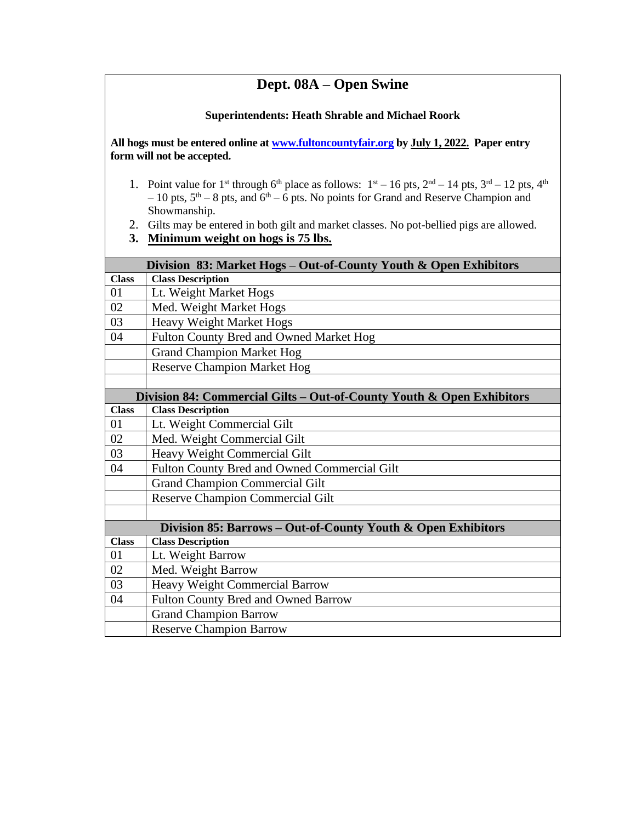## **Dept. 08A – Open Swine**

## **Superintendents: Heath Shrable and Michael Roork**

**All hogs must be entered online a[t www.fultoncountyfair.org](http://www.fultoncountyfair.org/) by July 1, 2022. Paper entry form will not be accepted.**

- 1. Point value for 1<sup>st</sup> through 6<sup>th</sup> place as follows:  $1<sup>st</sup> 16$  pts,  $2<sup>nd</sup> 14$  pts,  $3<sup>rd</sup> 12$  pts,  $4<sup>th</sup>$  $-10$  pts,  $5<sup>th</sup> - 8$  pts, and  $6<sup>th</sup> - 6$  pts. No points for Grand and Reserve Champion and Showmanship.
- 2. Gilts may be entered in both gilt and market classes. No pot-bellied pigs are allowed.
- **3. Minimum weight on hogs is 75 lbs.**

| Division 83: Market Hogs - Out-of-County Youth & Open Exhibitors      |                                              |
|-----------------------------------------------------------------------|----------------------------------------------|
| <b>Class</b>                                                          | <b>Class Description</b>                     |
| 01                                                                    | Lt. Weight Market Hogs                       |
| 02                                                                    | Med. Weight Market Hogs                      |
| 03                                                                    | <b>Heavy Weight Market Hogs</b>              |
| 04                                                                    | Fulton County Bred and Owned Market Hog      |
|                                                                       | <b>Grand Champion Market Hog</b>             |
|                                                                       | <b>Reserve Champion Market Hog</b>           |
|                                                                       |                                              |
| Division 84: Commercial Gilts - Out-of-County Youth & Open Exhibitors |                                              |
| <b>Class</b>                                                          | <b>Class Description</b>                     |
| 01                                                                    | Lt. Weight Commercial Gilt                   |
| 02                                                                    | Med. Weight Commercial Gilt                  |
| 03                                                                    | Heavy Weight Commercial Gilt                 |
| 04                                                                    | Fulton County Bred and Owned Commercial Gilt |
|                                                                       | <b>Grand Champion Commercial Gilt</b>        |
|                                                                       | <b>Reserve Champion Commercial Gilt</b>      |
|                                                                       |                                              |
| Division 85: Barrows – Out-of-County Youth & Open Exhibitors          |                                              |
| <b>Class</b>                                                          | <b>Class Description</b>                     |
| 01                                                                    | Lt. Weight Barrow                            |
| 02                                                                    | Med. Weight Barrow                           |
| 03                                                                    | Heavy Weight Commercial Barrow               |
| 04                                                                    | Fulton County Bred and Owned Barrow          |
|                                                                       | <b>Grand Champion Barrow</b>                 |
|                                                                       | <b>Reserve Champion Barrow</b>               |